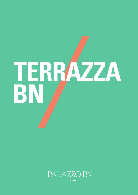

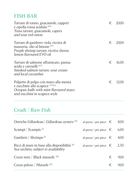#### FISH-BAR

| Tartare di tonno, guacamole, capperi<br>e cipolla rossa acidula <sup>(4,9)</sup><br>Tuna tartare, guacamole, capers<br>and sour red onion              | € | 20.00   |
|--------------------------------------------------------------------------------------------------------------------------------------------------------|---|---------|
| Tartare di gambero viola, ricotta di<br>masseria, olio al limone <sup>(2,7)</sup><br>Purple shrimp tartare, ricotta cheese,<br>lemon flavoured EVO oil |   | € 20,00 |
| Tartare di salmone affumicato, panna<br>acida e caroselli <sup>(4.7)</sup><br>Smoked salmon tartare, sour cream<br>and local cucumber                  | € | 16,00   |
| Polpette di polpo con mayo alla menta<br>e zucchine allo scapece (1.3.4.6)<br>Octopus-balls with mint flavoured mayo<br>and zucchini in scapece style  | € | 12.00   |

# Crudi / Raw Fish

| Ostriche Gillardeau / Gillardeau oysters <sup>(14)</sup>                             | al pezzo / per piece $\epsilon$ |   | 8,00 |
|--------------------------------------------------------------------------------------|---------------------------------|---|------|
| Scampi / Scampis <sup>(2)</sup>                                                      | al pezzo / per piece $\epsilon$ |   | 6,00 |
| Gamberi / Shrimps <sup>(2)</sup>                                                     | al pezzo / per piece $\epsilon$ |   | 4,00 |
| Ricci di mare in base alla disponibilità (4)<br>Sea urchins, subject to availability | al pezzo / per piece $\epsilon$ |   | 2.50 |
| Cozze nere / Black mussels (14)                                                      |                                 | € | 9.00 |
| Cozze pelose / Mussels $(14)$                                                        |                                 | € | 900  |
|                                                                                      |                                 |   |      |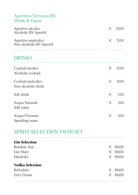#### Aperitivo Terrazza BN Drink & Tapas

| Aperitivo alcolico<br>Alcoholic BN Aperitif       | $\epsilon$ 20.00 |
|---------------------------------------------------|------------------|
| Aperitivo analcolico<br>Non-alcoholic BN Aperitif | $\epsilon$ 15.00 |

### DRINKS

| Cocktail alcolico<br>Alcoholic cocktail    | € | 15,00 |
|--------------------------------------------|---|-------|
| Cocktail analcolico<br>Non-alcoholic drink | € | 10,00 |
| Soft drink                                 | € | 5.00  |
| Acqua Naturale<br>Still water              | € | 3,00  |
| Acqua Frizzante<br>Sparkling water         | € | 3,00  |

## SPIRIT SELECTION TWIN SET

| <b>Gin Selection</b>   |   |          |
|------------------------|---|----------|
| <b>Bombay Star</b>     |   | € 180,00 |
| Gin Mare               | € | 180,00   |
| Hendrik's              |   | € 180,00 |
| <b>Vodka Selection</b> |   |          |
| Belvedere              |   | € 180,00 |
| Grey Goose             | € | 180,00   |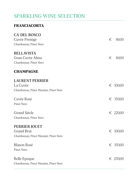### SPARKLING WINE SELECTION

#### **FRANCIACORTA**

| CA' DEL BOSCO                         |   |          |
|---------------------------------------|---|----------|
| Cuvèe Prestige                        | € | 80,00    |
| Chardonnay, Pinot Nero                |   |          |
| <b>BELLAVISTA</b>                     |   |          |
| Gran Cuvèe Alma                       | € | 80,00    |
| Chardonnay, Pinot Nero                |   |          |
| <b>CHAMPAGNE</b>                      |   |          |
| <b>LAURENT PERRIER</b>                |   |          |
| La Cuvèe                              | € | 100,00   |
| Chardonnay, Pinot Meunier, Pinot Nero |   |          |
| Cuvèe Rosé                            |   | € 150,00 |
| Pinot Nero                            |   |          |
| <b>Grand Siècle</b>                   |   | € 220,00 |
| Chardonnay, Pinot Nero                |   |          |
| <b>PERRIER JOUET</b>                  |   |          |
| <b>Grand Brut</b>                     | € | 100,00   |
| Chardonnay, Pinot Meunier, Pinot Nero |   |          |
| <b>Blason Rosé</b>                    |   | € 150,00 |
| Pinot Nero                            |   |          |
| Belle Epoque                          |   | € 250,00 |
| Chardonnay, Pinot Meunier, Pinot Nero |   |          |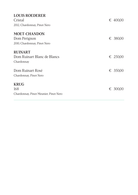| <b>LOUIS ROEDERER</b><br>Cristal<br>2012, Chardonnay, Pinot Nero    | € 400,00 |
|---------------------------------------------------------------------|----------|
| <b>MOET-CHANDON</b><br>Dom Perignon<br>2010, Chardonnay, Pinot Nero | € 380,00 |
| <b>RUINART</b><br>Dom Ruinart Blanc de Blancs<br>Chardonnay         | € 250,00 |
| Dom Ruinart Rosé<br>Chardonnay, Pinot Nero                          | € 350,00 |
| <b>KRUG</b><br>168<br>Chardonnay, Pinot Meunier, Pinot Nero         | € 300,00 |